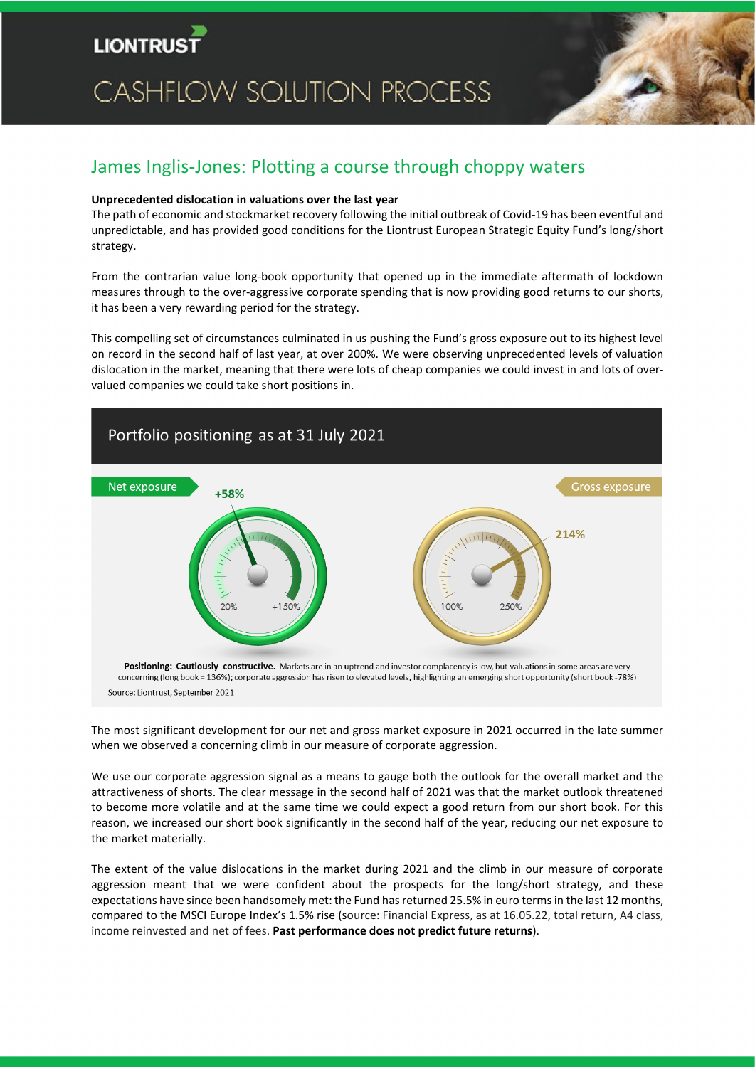

# **CASHFLOW SOLUTION PROCESS**



# James Inglis-Jones: Plotting a course through choppy waters

#### **Unprecedented dislocation in valuations over the last year**

The path of economic and stockmarket recovery following the initial outbreak of Covid-19 has been eventful and unpredictable, and has provided good conditions for the Liontrust European Strategic Equity Fund's long/short strategy.

From the contrarian value long-book opportunity that opened up in the immediate aftermath of lockdown measures through to the over-aggressive corporate spending that is now providing good returns to our shorts, it has been a very rewarding period for the strategy.

This compelling set of circumstances culminated in us pushing the Fund's gross exposure out to its highest level on record in the second half of last year, at over 200%. We were observing unprecedented levels of valuation dislocation in the market, meaning that there were lots of cheap companies we could invest in and lots of overvalued companies we could take short positions in.



The most significant development for our net and gross market exposure in 2021 occurred in the late summer when we observed a concerning climb in our measure of corporate aggression.

We use our corporate aggression signal as a means to gauge both the outlook for the overall market and the attractiveness of shorts. The clear message in the second half of 2021 was that the market outlook threatened to become more volatile and at the same time we could expect a good return from our short book. For this reason, we increased our short book significantly in the second half of the year, reducing our net exposure to the market materially.

The extent of the value dislocations in the market during 2021 and the climb in our measure of corporate aggression meant that we were confident about the prospects for the long/short strategy, and these expectations have since been handsomely met: the Fund has returned 25.5% in euro terms in the last 12 months, compared to the MSCI Europe Index's 1.5% rise (source: Financial Express, as at 16.05.22, total return, A4 class, income reinvested and net of fees. **Past performance does not predict future returns**).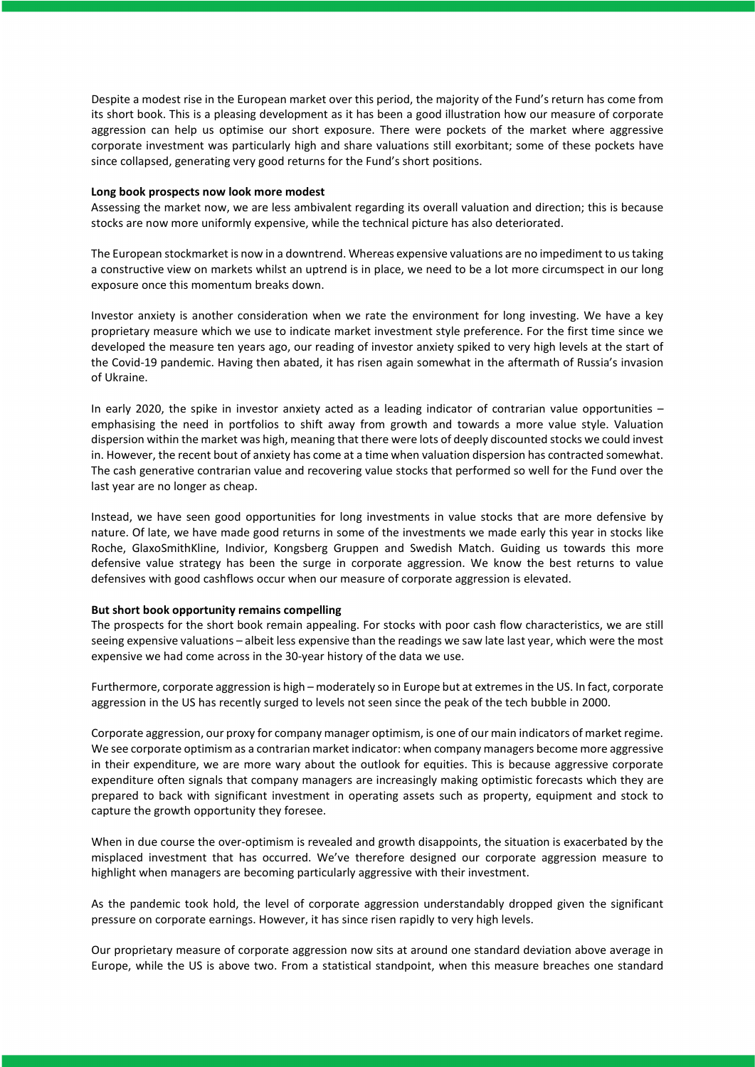Despite a modest rise in the European market over this period, the majority of the Fund's return has come from its short book. This is a pleasing development as it has been a good illustration how our measure of corporate aggression can help us optimise our short exposure. There were pockets of the market where aggressive corporate investment was particularly high and share valuations still exorbitant; some of these pockets have since collapsed, generating very good returns for the Fund's short positions.

#### **Long book prospects now look more modest**

Assessing the market now, we are less ambivalent regarding its overall valuation and direction; this is because stocks are now more uniformly expensive, while the technical picture has also deteriorated.

The European stockmarket is now in a downtrend. Whereas expensive valuations are no impediment to us taking a constructive view on markets whilst an uptrend is in place, we need to be a lot more circumspect in our long exposure once this momentum breaks down.

Investor anxiety is another consideration when we rate the environment for long investing. We have a key proprietary measure which we use to indicate market investment style preference. For the first time since we developed the measure ten years ago, our reading of investor anxiety spiked to very high levels at the start of the Covid-19 pandemic. Having then abated, it has risen again somewhat in the aftermath of Russia's invasion of Ukraine.

In early 2020, the spike in investor anxiety acted as a leading indicator of contrarian value opportunities – emphasising the need in portfolios to shift away from growth and towards a more value style. Valuation dispersion within the market was high, meaning that there were lots of deeply discounted stocks we could invest in. However, the recent bout of anxiety has come at a time when valuation dispersion has contracted somewhat. The cash generative contrarian value and recovering value stocks that performed so well for the Fund over the last year are no longer as cheap.

Instead, we have seen good opportunities for long investments in value stocks that are more defensive by nature. Of late, we have made good returns in some of the investments we made early this year in stocks like Roche, GlaxoSmithKline, Indivior, Kongsberg Gruppen and Swedish Match. Guiding us towards this more defensive value strategy has been the surge in corporate aggression. We know the best returns to value defensives with good cashflows occur when our measure of corporate aggression is elevated.

#### **But short book opportunity remains compelling**

The prospects for the short book remain appealing. For stocks with poor cash flow characteristics, we are still seeing expensive valuations – albeit less expensive than the readings we saw late last year, which were the most expensive we had come across in the 30-year history of the data we use.

Furthermore, corporate aggression is high – moderately so in Europe but at extremesin the US. In fact, corporate aggression in the US has recently surged to levels not seen since the peak of the tech bubble in 2000.

Corporate aggression, our proxy for company manager optimism, is one of our main indicators of market regime. We see corporate optimism as a contrarian market indicator: when company managers become more aggressive in their expenditure, we are more wary about the outlook for equities. This is because aggressive corporate expenditure often signals that company managers are increasingly making optimistic forecasts which they are prepared to back with significant investment in operating assets such as property, equipment and stock to capture the growth opportunity they foresee.

When in due course the over-optimism is revealed and growth disappoints, the situation is exacerbated by the misplaced investment that has occurred. We've therefore designed our corporate aggression measure to highlight when managers are becoming particularly aggressive with their investment.

As the pandemic took hold, the level of corporate aggression understandably dropped given the significant pressure on corporate earnings. However, it has since risen rapidly to very high levels.

Our proprietary measure of corporate aggression now sits at around one standard deviation above average in Europe, while the US is above two. From a statistical standpoint, when this measure breaches one standard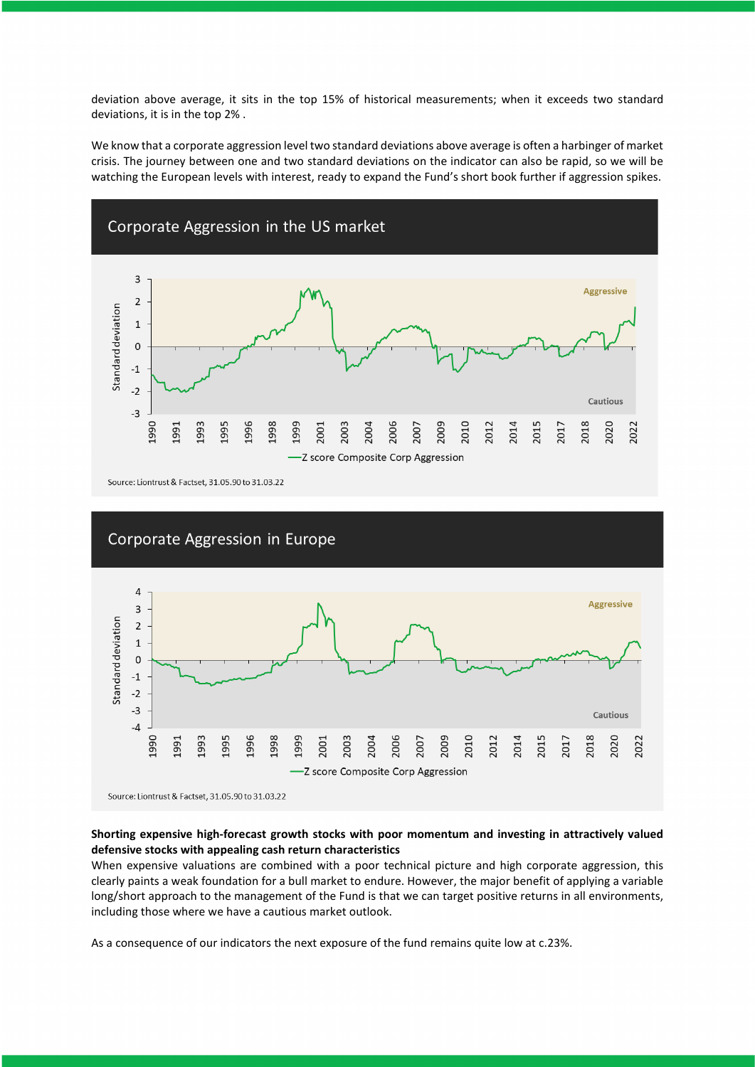deviation above average, it sits in the top 15% of historical measurements; when it exceeds two standard deviations, it is in the top 2% .

We know that a corporate aggression level two standard deviations above average is often a harbinger of market crisis. The journey between one and two standard deviations on the indicator can also be rapid, so we will be watching the European levels with interest, ready to expand the Fund's short book further if aggression spikes.





Source: Liontrust & Factset, 31.05.90 to 31.03.22

### **Shorting expensive high-forecast growth stocks with poor momentum and investing in attractively valued defensive stocks with appealing cash return characteristics**

When expensive valuations are combined with a poor technical picture and high corporate aggression, this clearly paints a weak foundation for a bull market to endure. However, the major benefit of applying a variable long/short approach to the management of the Fund is that we can target positive returns in all environments, including those where we have a cautious market outlook.

As a consequence of our indicators the next exposure of the fund remains quite low at c.23%.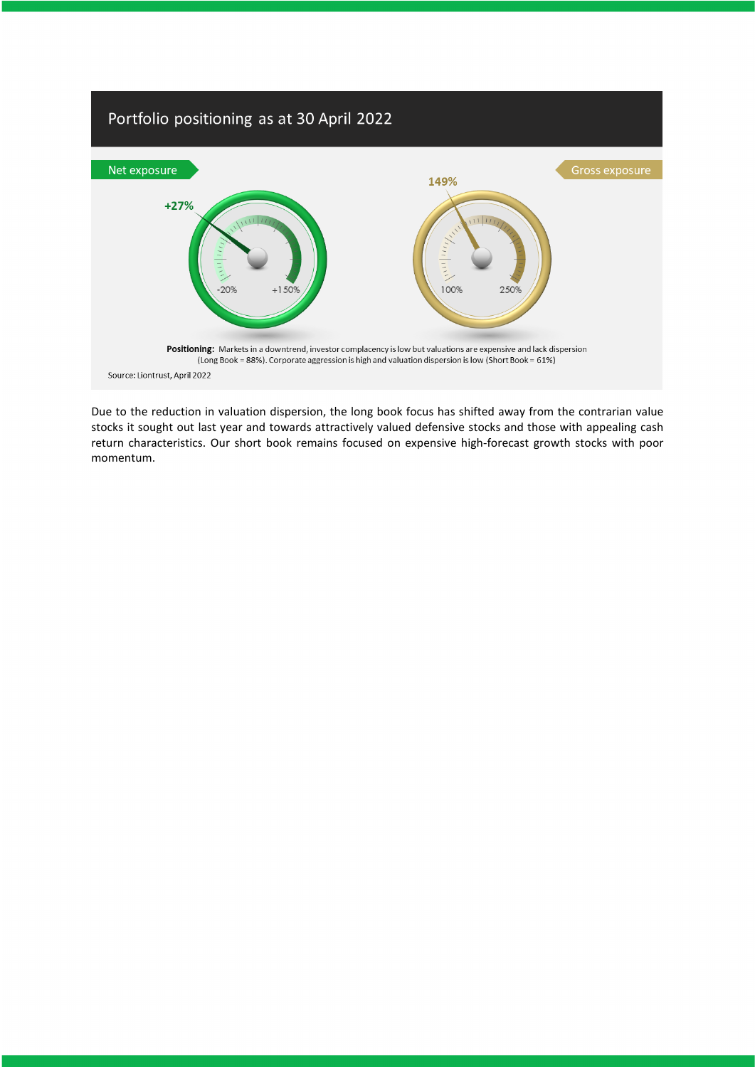

Due to the reduction in valuation dispersion, the long book focus has shifted away from the contrarian value stocks it sought out last year and towards attractively valued defensive stocks and those with appealing cash return characteristics. Our short book remains focused on expensive high-forecast growth stocks with poor momentum.